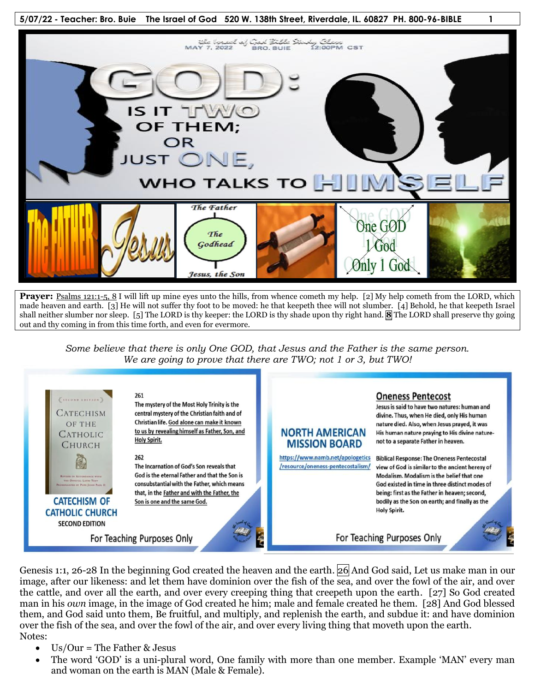

**Prayer:** Psalms 121:1-5, 8 I will lift up mine eyes unto the hills, from whence cometh my help. [2] My help cometh from the LORD, which made heaven and earth. [3] He will not suffer thy foot to be moved: he that keepeth thee will not slumber. [4] Behold, he that keepeth Israel shall neither slumber nor sleep. [5] The LORD is thy keeper: the LORD is thy shade upon thy right hand. **8** The LORD shall preserve thy going out and thy coming in from this time forth, and even for evermore.

*Some believe that there is only One GOD, that Jesus and the Father is the same person. We are going to prove that there are TWO; not 1 or 3, but TWO!*



Genesis 1:1, 26-28 In the beginning God created the heaven and the earth. 26 And God said, Let us make man in our image, after our likeness: and let them have dominion over the fish of the sea, and over the fowl of the air, and over the cattle, and over all the earth, and over every creeping thing that creepeth upon the earth. [27] So God created man in his *own* image, in the image of God created he him; male and female created he them. [28] And God blessed them, and God said unto them, Be fruitful, and multiply, and replenish the earth, and subdue it: and have dominion over the fish of the sea, and over the fowl of the air, and over every living thing that moveth upon the earth. Notes:

- $\bullet$  Us/Our = The Father & Jesus
- The word 'GOD' is a uni-plural word, One family with more than one member. Example 'MAN' every man and woman on the earth is MAN (Male & Female).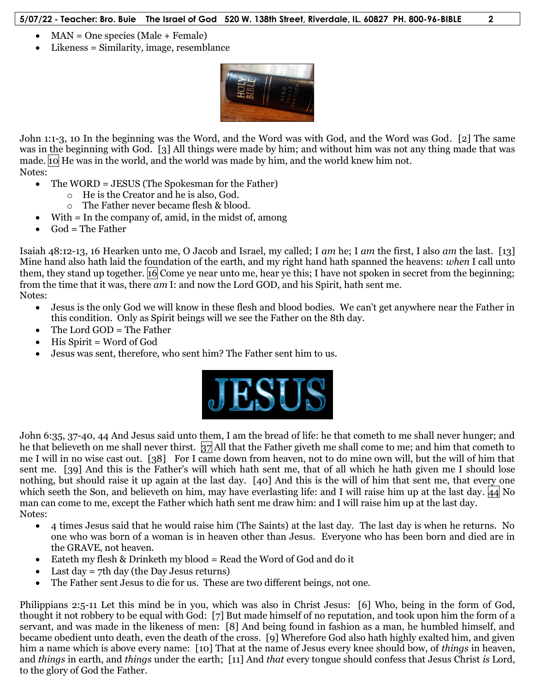- MAN = One species (Male + Female)
- Likeness = Similarity, image, resemblance



John 1:1-3, 10 In the beginning was the Word, and the Word was with God, and the Word was God. [2] The same was in the beginning with God. [3] All things were made by him; and without him was not any thing made that was made.  $\overline{10}$  He was in the world, and the world was made by him, and the world knew him not. Notes:

- The WORD = JESUS (The Spokesman for the Father)
	- o He is the Creator and he is also, God.
	- o The Father never became flesh & blood.
- With = In the company of, amid, in the midst of, among
- $\bullet$  God = The Father

Isaiah 48:12-13, 16 Hearken unto me, O Jacob and Israel, my called; I *am* he; I *am* the first, I also *am* the last. [13] Mine hand also hath laid the foundation of the earth, and my right hand hath spanned the heavens: *when* I call unto them, they stand up together. 16 Come ye near unto me, hear ye this; I have not spoken in secret from the beginning; from the time that it was, there *am* I: and now the Lord GOD, and his Spirit, hath sent me.

Notes:

- Jesus is the only God we will know in these flesh and blood bodies. We can't get anywhere near the Father in this condition. Only as Spirit beings will we see the Father on the 8th day.
- The Lord GOD = The Father
- His Spirit = Word of God
- Jesus was sent, therefore, who sent him? The Father sent him to us.



John 6:35, 37-40, 44 And Jesus said unto them, I am the bread of life: he that cometh to me shall never hunger; and he that believeth on me shall never thirst. 37 All that the Father giveth me shall come to me; and him that cometh to me I will in no wise cast out. [38] For I came down from heaven, not to do mine own will, but the will of him that sent me. [39] And this is the Father's will which hath sent me, that of all which he hath given me I should lose nothing, but should raise it up again at the last day. [40] And this is the will of him that sent me, that every one which seeth the Son, and believeth on him, may have everlasting life: and I will raise him up at the last day.  $|44|$  No man can come to me, except the Father which hath sent me draw him: and I will raise him up at the last day. Notes:

- 4 times Jesus said that he would raise him (The Saints) at the last day. The last day is when he returns. No one who was born of a woman is in heaven other than Jesus. Everyone who has been born and died are in the GRAVE, not heaven.
- Eateth my flesh & Drinketh my blood = Read the Word of God and do it
- Last day = 7th day (the Day Jesus returns)
- The Father sent Jesus to die for us. These are two different beings, not one.

Philippians 2:5-11 Let this mind be in you, which was also in Christ Jesus: [6] Who, being in the form of God, thought it not robbery to be equal with God: [7] But made himself of no reputation, and took upon him the form of a servant, and was made in the likeness of men: [8] And being found in fashion as a man, he humbled himself, and became obedient unto death, even the death of the cross. [9] Wherefore God also hath highly exalted him, and given him a name which is above every name: [10] That at the name of Jesus every knee should bow, of *things* in heaven, and *things* in earth, and *things* under the earth; [11] And *that* every tongue should confess that Jesus Christ *is* Lord, to the glory of God the Father.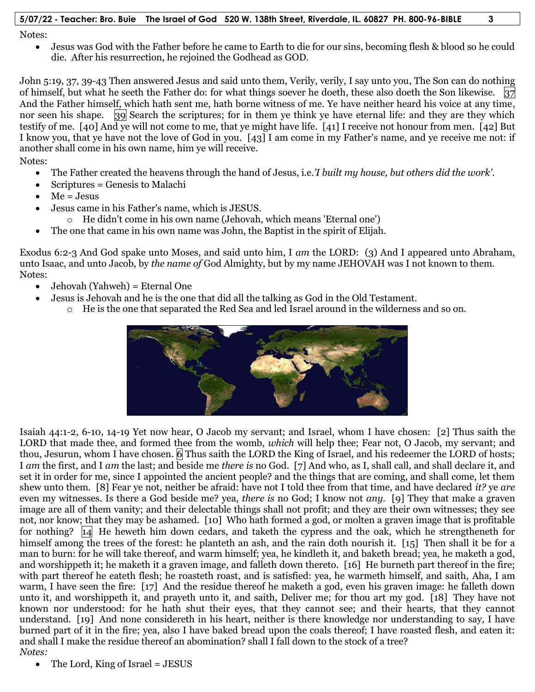Notes:

 Jesus was God with the Father before he came to Earth to die for our sins, becoming flesh & blood so he could die. After his resurrection, he rejoined the Godhead as GOD.

John 5:19, 37, 39-43 Then answered Jesus and said unto them, Verily, verily, I say unto you, The Son can do nothing of himself, but what he seeth the Father do: for what things soever he doeth, these also doeth the Son likewise.  $37$ And the Father himself, which hath sent me, hath borne witness of me. Ye have neither heard his voice at any time, nor seen his shape. 39 Search the scriptures; for in them ye think ye have eternal life: and they are they which testify of me. [40] And ye will not come to me, that ye might have life. [41] I receive not honour from men. [42] But I know you, that ye have not the love of God in you. [43] I am come in my Father's name, and ye receive me not: if another shall come in his own name, him ye will receive.

Notes:

- The Father created the heavens through the hand of Jesus, i.e.*'I built my house, but others did the work'*.
- Scriptures = Genesis to Malachi
- $Me = Jesus$
- Jesus came in his Father's name, which is JESUS.
	- o He didn't come in his own name (Jehovah, which means 'Eternal one')
- The one that came in his own name was John, the Baptist in the spirit of Elijah.

Exodus 6:2-3 And God spake unto Moses, and said unto him, I *am* the LORD: (3) And I appeared unto Abraham, unto Isaac, and unto Jacob, by *the name of* God Almighty, but by my name JEHOVAH was I not known to them. Notes:

- Jehovah (Yahweh) = Eternal One
- Jesus is Jehovah and he is the one that did all the talking as God in the Old Testament.
	- o He is the one that separated the Red Sea and led Israel around in the wilderness and so on.



Isaiah 44:1-2, 6-10, 14-19 Yet now hear, O Jacob my servant; and Israel, whom I have chosen: [2] Thus saith the LORD that made thee, and formed thee from the womb, *which* will help thee; Fear not, O Jacob, my servant; and thou, Jesurun, whom I have chosen. 6 Thus saith the LORD the King of Israel, and his redeemer the LORD of hosts; I *am* the first, and I *am* the last; and beside me *there is* no God. [7] And who, as I, shall call, and shall declare it, and set it in order for me, since I appointed the ancient people? and the things that are coming, and shall come, let them shew unto them. [8] Fear ye not, neither be afraid: have not I told thee from that time, and have declared *it?* ye *are* even my witnesses. Is there a God beside me? yea, *there is* no God; I know not *any.* [9] They that make a graven image are all of them vanity; and their delectable things shall not profit; and they are their own witnesses; they see not, nor know; that they may be ashamed. [10] Who hath formed a god, or molten a graven image that is profitable for nothing?14 He heweth him down cedars, and taketh the cypress and the oak, which he strengtheneth for himself among the trees of the forest: he planteth an ash, and the rain doth nourish it. [15] Then shall it be for a man to burn: for he will take thereof, and warm himself; yea, he kindleth it, and baketh bread; yea, he maketh a god, and worshippeth it; he maketh it a graven image, and falleth down thereto. [16] He burneth part thereof in the fire; with part thereof he eateth flesh; he roasteth roast, and is satisfied: yea, he warmeth himself, and saith, Aha, I am warm, I have seen the fire: [17] And the residue thereof he maketh a god, even his graven image: he falleth down unto it, and worshippeth it, and prayeth unto it, and saith, Deliver me; for thou art my god. [18] They have not known nor understood: for he hath shut their eyes, that they cannot see; and their hearts, that they cannot understand. [19] And none considereth in his heart, neither is there knowledge nor understanding to say, I have burned part of it in the fire; yea, also I have baked bread upon the coals thereof; I have roasted flesh, and eaten it: and shall I make the residue thereof an abomination? shall I fall down to the stock of a tree? *Notes:*

The Lord, King of Israel = JESUS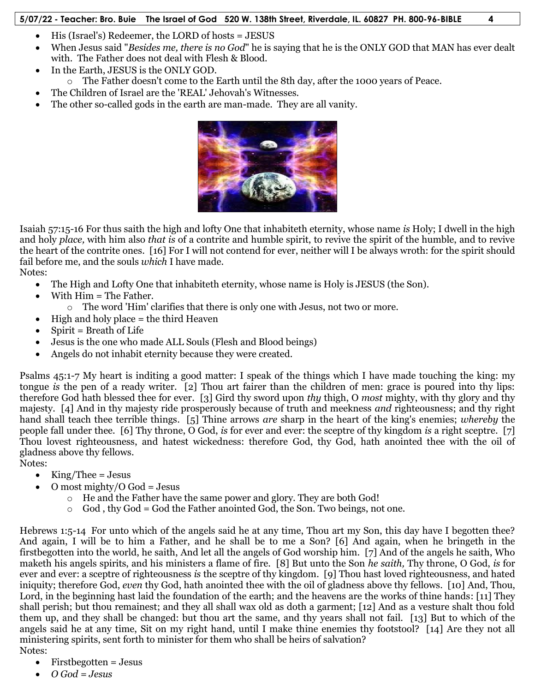- His (Israel's) Redeemer, the LORD of hosts = JESUS
- When Jesus said "*Besides me, there is no God*" he is saying that he is the ONLY GOD that MAN has ever dealt with. The Father does not deal with Flesh & Blood.
- In the Earth, JESUS is the ONLY GOD.
- o The Father doesn't come to the Earth until the 8th day, after the 1000 years of Peace.
- The Children of Israel are the 'REAL' Jehovah's Witnesses.
- The other so-called gods in the earth are man-made. They are all vanity.



Isaiah 57:15-16 For thus saith the high and lofty One that inhabiteth eternity, whose name *is* Holy; I dwell in the high and holy *place,* with him also *that is* of a contrite and humble spirit, to revive the spirit of the humble, and to revive the heart of the contrite ones. [16] For I will not contend for ever, neither will I be always wroth: for the spirit should fail before me, and the souls *which* I have made.

Notes:

- The High and Lofty One that inhabiteth eternity, whose name is Holy is JESUS (the Son).
- With Him = The Father.
	- o The word 'Him' clarifies that there is only one with Jesus, not two or more.
- High and holy place = the third Heaven
- $\bullet$  Spirit = Breath of Life
- Jesus is the one who made ALL Souls (Flesh and Blood beings)
- Angels do not inhabit eternity because they were created.

Psalms 45:1-7 My heart is inditing a good matter: I speak of the things which I have made touching the king: my tongue *is* the pen of a ready writer. [2] Thou art fairer than the children of men: grace is poured into thy lips: therefore God hath blessed thee for ever. [3] Gird thy sword upon *thy* thigh, O *most* mighty, with thy glory and thy majesty. [4] And in thy majesty ride prosperously because of truth and meekness *and* righteousness; and thy right hand shall teach thee terrible things. [5] Thine arrows *are* sharp in the heart of the king's enemies; *whereby* the people fall under thee. [6] Thy throne, O God, *is* for ever and ever: the sceptre of thy kingdom *is* a right sceptre. [7] Thou lovest righteousness, and hatest wickedness: therefore God, thy God, hath anointed thee with the oil of gladness above thy fellows.

Notes:

- $\bullet$  King/Thee = Jesus
- O most mighty/O God = Jesus
	- o He and the Father have the same power and glory. They are both God!
	- $\circ$  God, thy God = God the Father anointed God, the Son. Two beings, not one.

Hebrews 1:5-14 For unto which of the angels said he at any time, Thou art my Son, this day have I begotten thee? And again, I will be to him a Father, and he shall be to me a Son? [6] And again, when he bringeth in the firstbegotten into the world, he saith, And let all the angels of God worship him. [7] And of the angels he saith, Who maketh his angels spirits, and his ministers a flame of fire. [8] But unto the Son *he saith,* Thy throne, O God, *is* for ever and ever: a sceptre of righteousness *is* the sceptre of thy kingdom. [9] Thou hast loved righteousness, and hated iniquity; therefore God, *even* thy God, hath anointed thee with the oil of gladness above thy fellows. [10] And, Thou, Lord, in the beginning hast laid the foundation of the earth; and the heavens are the works of thine hands: [11] They shall perish; but thou remainest; and they all shall wax old as doth a garment; [12] And as a vesture shalt thou fold them up, and they shall be changed: but thou art the same, and thy years shall not fail. [13] But to which of the angels said he at any time, Sit on my right hand, until I make thine enemies thy footstool? [14] Are they not all ministering spirits, sent forth to minister for them who shall be heirs of salvation? Notes:

- Firstbegotten = Jesus
- *O God = Jesus*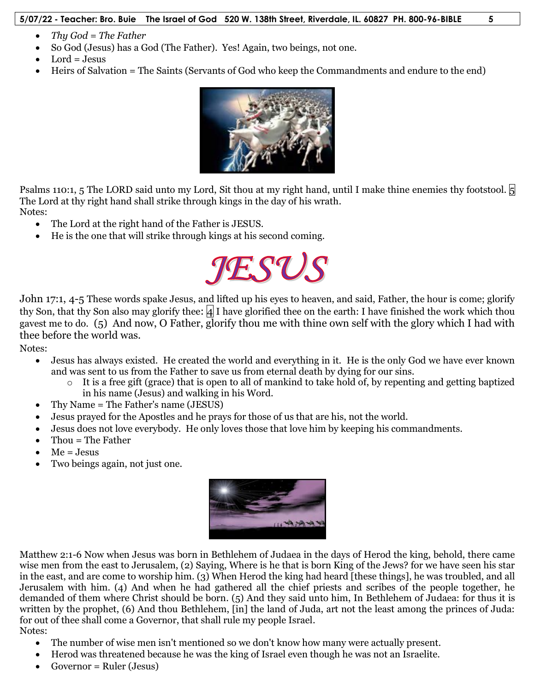- *Thy God = The Father*
- So God (Jesus) has a God (The Father). Yes! Again, two beings, not one.
- $\bullet$  Lord = Jesus
- Heirs of Salvation = The Saints (Servants of God who keep the Commandments and endure to the end)



Psalms 110:1, 5 The LORD said unto my Lord, Sit thou at my right hand, until I make thine enemies thy footstool.  $\vert 5 \vert$ The Lord at thy right hand shall strike through kings in the day of his wrath.

Notes:

- The Lord at the right hand of the Father is JESUS.
- He is the one that will strike through kings at his second coming.



John 17:1, 4-5 These words spake Jesus, and lifted up his eyes to heaven, and said, Father, the hour is come; glorify thy Son, that thy Son also may glorify thee:  $|4|$  I have glorified thee on the earth: I have finished the work which thou gavest me to do. (5) And now, O Father, glorify thou me with thine own self with the glory which I had with thee before the world was.

Notes:

- Jesus has always existed. He created the world and everything in it. He is the only God we have ever known and was sent to us from the Father to save us from eternal death by dying for our sins.
	- $\circ$  It is a free gift (grace) that is open to all of mankind to take hold of, by repenting and getting baptized in his name (Jesus) and walking in his Word.
- Thy Name = The Father's name (JESUS)
- Jesus prayed for the Apostles and he prays for those of us that are his, not the world.
- Jesus does not love everybody. He only loves those that love him by keeping his commandments.
- Thou = The Father
- $Me = Jesus$
- Two beings again, not just one.



Matthew 2:1-6 Now when Jesus was born in Bethlehem of Judaea in the days of Herod the king, behold, there came wise men from the east to Jerusalem, (2) Saying, Where is he that is born King of the Jews? for we have seen his star in the east, and are come to worship him. (3) When Herod the king had heard [these things], he was troubled, and all Jerusalem with him. (4) And when he had gathered all the chief priests and scribes of the people together, he demanded of them where Christ should be born. (5) And they said unto him, In Bethlehem of Judaea: for thus it is written by the prophet, (6) And thou Bethlehem, [in] the land of Juda, art not the least among the princes of Juda: for out of thee shall come a Governor, that shall rule my people Israel.

Notes:

- The number of wise men isn't mentioned so we don't know how many were actually present.
- Herod was threatened because he was the king of Israel even though he was not an Israelite.
- Governor = Ruler (Jesus)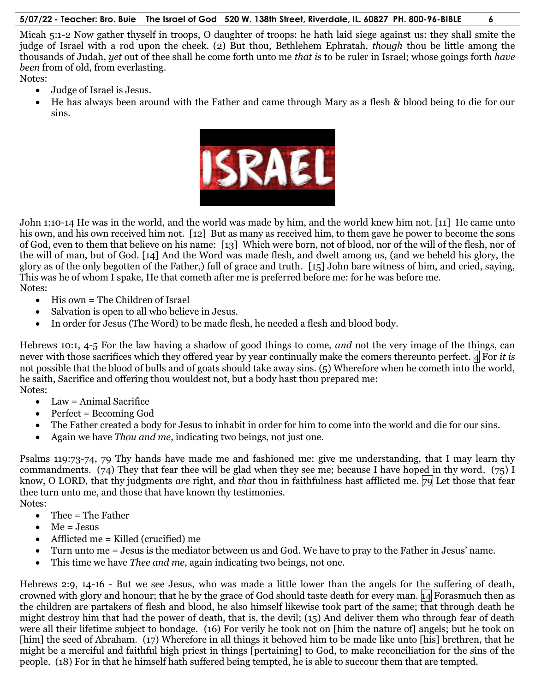Micah 5:1-2 Now gather thyself in troops, O daughter of troops: he hath laid siege against us: they shall smite the judge of Israel with a rod upon the cheek. (2) But thou, Bethlehem Ephratah, *though* thou be little among the thousands of Judah, *yet* out of thee shall he come forth unto me *that is* to be ruler in Israel; whose goings forth *have been* from of old, from everlasting.

Notes:

- Judge of Israel is Jesus.
- He has always been around with the Father and came through Mary as a flesh & blood being to die for our sins.



John 1:10-14 He was in the world, and the world was made by him, and the world knew him not. [11] He came unto his own, and his own received him not. [12] But as many as received him, to them gave he power to become the sons of God, even to them that believe on his name: [13] Which were born, not of blood, nor of the will of the flesh, nor of the will of man, but of God. [14] And the Word was made flesh, and dwelt among us, (and we beheld his glory, the glory as of the only begotten of the Father,) full of grace and truth. [15] John bare witness of him, and cried, saying, This was he of whom I spake, He that cometh after me is preferred before me: for he was before me. Notes:

- His own = The Children of Israel
- Salvation is open to all who believe in Jesus.
- In order for Jesus (The Word) to be made flesh, he needed a flesh and blood body.

Hebrews 10:1, 4-5 For the law having a shadow of good things to come, *and* not the very image of the things, can never with those sacrifices which they offered year by year continually make the comers thereunto perfect. 4 For *it is* not possible that the blood of bulls and of goats should take away sins. (5) Wherefore when he cometh into the world, he saith, Sacrifice and offering thou wouldest not, but a body hast thou prepared me: Notes:

- $\bullet$  Law = Animal Sacrifice
- Perfect = Becoming God
- The Father created a body for Jesus to inhabit in order for him to come into the world and die for our sins.
- Again we have *Thou and me*, indicating two beings, not just one.

Psalms 119:73-74, 79 Thy hands have made me and fashioned me: give me understanding, that I may learn thy commandments. (74) They that fear thee will be glad when they see me; because I have hoped in thy word. (75) I know, O LORD, that thy judgments *are* right, and *that* thou in faithfulness hast afflicted me. 79 Let those that fear thee turn unto me, and those that have known thy testimonies.

Notes:

- Thee = The Father
- $Me = Jesus$
- $\bullet$  Afflicted me = Killed (crucified) me
- Turn unto me = Jesus is the mediator between us and God. We have to pray to the Father in Jesus' name.
- This time we have *Thee and me*, again indicating two beings, not one.

Hebrews 2:9, 14-16 - But we see Jesus, who was made a little lower than the angels for the suffering of death, crowned with glory and honour; that he by the grace of God should taste death for every man. 14 Forasmuch then as the children are partakers of flesh and blood, he also himself likewise took part of the same; that through death he might destroy him that had the power of death, that is, the devil; (15) And deliver them who through fear of death were all their lifetime subject to bondage. (16) For verily he took not on [him the nature of] angels; but he took on [him] the seed of Abraham. (17) Wherefore in all things it behoved him to be made like unto [his] brethren, that he might be a merciful and faithful high priest in things [pertaining] to God, to make reconciliation for the sins of the people. (18) For in that he himself hath suffered being tempted, he is able to succour them that are tempted.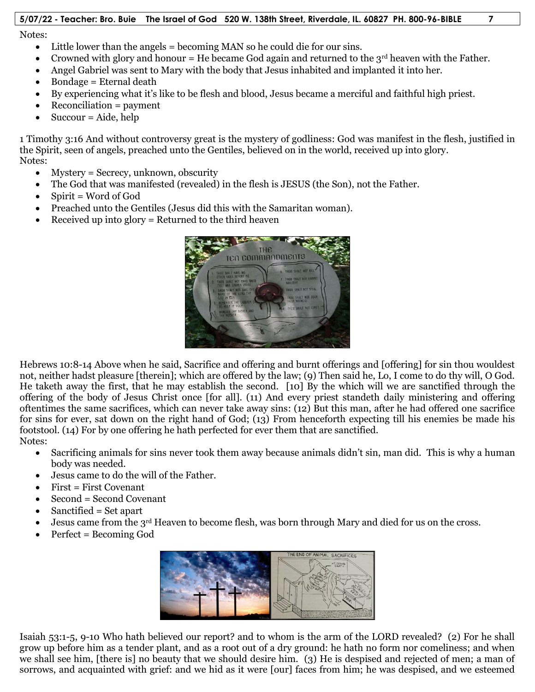Notes:

- Little lower than the angels = becoming MAN so he could die for our sins.
- Crowned with glory and honour = He became God again and returned to the  $3^{rd}$  heaven with the Father.
- Angel Gabriel was sent to Mary with the body that Jesus inhabited and implanted it into her.
- $\bullet$  Bondage = Eternal death
- By experiencing what it's like to be flesh and blood, Jesus became a merciful and faithful high priest.
- $\bullet$  Reconciliation = payment
- $\bullet$  Succour = Aide, help

1 Timothy 3:16 And without controversy great is the mystery of godliness: God was manifest in the flesh, justified in the Spirit, seen of angels, preached unto the Gentiles, believed on in the world, received up into glory. Notes:

- Mystery = Secrecy, unknown, obscurity
- The God that was manifested (revealed) in the flesh is JESUS (the Son), not the Father.
- $\bullet$  Spirit = Word of God
- Preached unto the Gentiles (Jesus did this with the Samaritan woman).
- Received up into glory = Returned to the third heaven



Hebrews 10:8-14 Above when he said, Sacrifice and offering and burnt offerings and [offering] for sin thou wouldest not, neither hadst pleasure [therein]; which are offered by the law; (9) Then said he, Lo, I come to do thy will, O God. He taketh away the first, that he may establish the second. [10] By the which will we are sanctified through the offering of the body of Jesus Christ once [for all]*.* (11) And every priest standeth daily ministering and offering oftentimes the same sacrifices, which can never take away sins: (12) But this man, after he had offered one sacrifice for sins for ever, sat down on the right hand of God; (13) From henceforth expecting till his enemies be made his footstool. (14) For by one offering he hath perfected for ever them that are sanctified. Notes:

- Sacrificing animals for sins never took them away because animals didn't sin, man did. This is why a human body was needed.
- Jesus came to do the will of the Father.
- $\bullet$  First = First Covenant
- Second = Second Covenant
- Sanctified = Set apart
- $\bullet$  Jesus came from the 3<sup>rd</sup> Heaven to become flesh, was born through Mary and died for us on the cross.
- Perfect = Becoming God



Isaiah 53:1-5, 9-10 Who hath believed our report? and to whom is the arm of the LORD revealed? (2) For he shall grow up before him as a tender plant, and as a root out of a dry ground: he hath no form nor comeliness; and when we shall see him, [there is] no beauty that we should desire him. (3) He is despised and rejected of men; a man of sorrows, and acquainted with grief: and we hid as it were [our] faces from him; he was despised, and we esteemed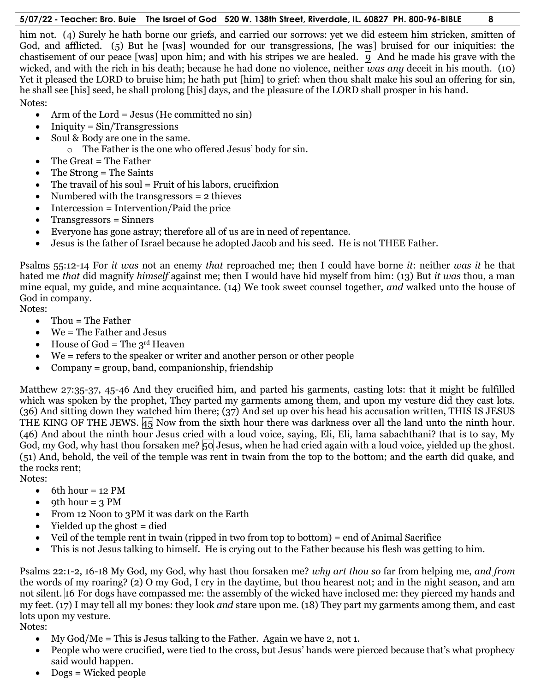him not. (4) Surely he hath borne our griefs, and carried our sorrows: yet we did esteem him stricken, smitten of God, and afflicted. (5) But he [was] wounded for our transgressions, [he was] bruised for our iniquities: the chastisement of our peace [was] upon him; and with his stripes we are healed.  $|9|$  And he made his grave with the wicked, and with the rich in his death; because he had done no violence, neither *was any* deceit in his mouth. (10) Yet it pleased the LORD to bruise him; he hath put [him] to grief: when thou shalt make his soul an offering for sin, he shall see [his] seed, he shall prolong [his] days, and the pleasure of the LORD shall prosper in his hand. Notes:

- Arm of the Lord = Jesus (He committed no sin)
- $\bullet$  Iniquity = Sin/Transgressions
- Soul & Body are one in the same.
	- o The Father is the one who offered Jesus' body for sin.
- The Great = The Father
- $\bullet$  The Strong = The Saints
- $\bullet$  The travail of his soul = Fruit of his labors, crucifixion
- Numbered with the transgressors  $= 2$  thieves
- $\bullet$  Intercession = Intervention/Paid the price
- Transgressors = Sinners
- Everyone has gone astray; therefore all of us are in need of repentance.
- Jesus is the father of Israel because he adopted Jacob and his seed. He is not THEE Father.

Psalms 55:12-14 For *it was* not an enemy *that* reproached me; then I could have borne *it*: neither *was it* he that hated me *that* did magnify *himself* against me; then I would have hid myself from him: (13) But *it was* thou, a man mine equal, my guide, and mine acquaintance. (14) We took sweet counsel together, *and* walked unto the house of God in company.

Notes:

- Thou = The Father
- $\bullet$  We = The Father and Jesus
- $\bullet$  House of God = The 3<sup>rd</sup> Heaven
- We = refers to the speaker or writer and another person or other people
- Company = group, band, companionship, friendship

Matthew 27:35-37, 45-46 And they crucified him, and parted his garments, casting lots: that it might be fulfilled which was spoken by the prophet, They parted my garments among them, and upon my vesture did they cast lots. (36) And sitting down they watched him there; (37) And set up over his head his accusation written, THIS IS JESUS THE KING OF THE JEWS.  $\sharp$ <sub>5</sub> Now from the sixth hour there was darkness over all the land unto the ninth hour. (46) And about the ninth hour Jesus cried with a loud voice, saying, Eli, Eli, lama sabachthani? that is to say, My God, my God, why hast thou forsaken me?  $50$  Jesus, when he had cried again with a loud voice, yielded up the ghost. (51) And, behold, the veil of the temple was rent in twain from the top to the bottom; and the earth did quake, and the rocks rent;

Notes:

- $\bullet$  6th hour = 12 PM
- $\bullet$  oth hour = 3 PM
- From 12 Noon to 3PM it was dark on the Earth
- Yielded up the ghost = died
- Veil of the temple rent in twain (ripped in two from top to bottom) = end of Animal Sacrifice
- This is not Jesus talking to himself. He is crying out to the Father because his flesh was getting to him.

Psalms 22:1-2, 16-18 My God, my God, why hast thou forsaken me? *why art thou so* far from helping me, *and from* the words of my roaring? (2) O my God, I cry in the daytime, but thou hearest not; and in the night season, and am not silent. 16 For dogs have compassed me: the assembly of the wicked have inclosed me: they pierced my hands and my feet. (17) I may tell all my bones: they look *and* stare upon me. (18) They part my garments among them, and cast lots upon my vesture.

Notes:

- My God/Me = This is Jesus talking to the Father. Again we have 2, not 1.
- People who were crucified, were tied to the cross, but Jesus' hands were pierced because that's what prophecy said would happen.
- Dogs = Wicked people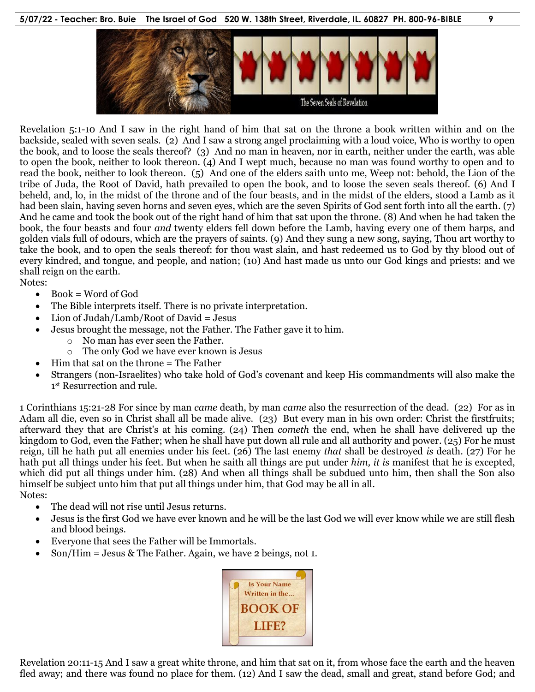

Revelation 5:1-10 And I saw in the right hand of him that sat on the throne a book written within and on the backside, sealed with seven seals. (2) And I saw a strong angel proclaiming with a loud voice, Who is worthy to open the book, and to loose the seals thereof? (3) And no man in heaven, nor in earth, neither under the earth, was able to open the book, neither to look thereon. (4) And I wept much, because no man was found worthy to open and to read the book, neither to look thereon. (5) And one of the elders saith unto me, Weep not: behold, the Lion of the tribe of Juda, the Root of David, hath prevailed to open the book, and to loose the seven seals thereof. (6) And I beheld, and, lo, in the midst of the throne and of the four beasts, and in the midst of the elders, stood a Lamb as it had been slain, having seven horns and seven eyes, which are the seven Spirits of God sent forth into all the earth. (7) And he came and took the book out of the right hand of him that sat upon the throne. (8) And when he had taken the book, the four beasts and four *and* twenty elders fell down before the Lamb, having every one of them harps, and golden vials full of odours, which are the prayers of saints. (9) And they sung a new song, saying, Thou art worthy to take the book, and to open the seals thereof: for thou wast slain, and hast redeemed us to God by thy blood out of every kindred, and tongue, and people, and nation; (10) And hast made us unto our God kings and priests: and we shall reign on the earth.

Notes:

- $\bullet$  Book = Word of God
- The Bible interprets itself. There is no private interpretation.
- Lion of Judah/Lamb/Root of David = Jesus
	- Jesus brought the message, not the Father. The Father gave it to him.
		- o No man has ever seen the Father.
			- o The only God we have ever known is Jesus
- Him that sat on the throne = The Father
- Strangers (non-Israelites) who take hold of God's covenant and keep His commandments will also make the 1st Resurrection and rule.

1 Corinthians 15:21-28 For since by man *came* death, by man *came* also the resurrection of the dead. (22) For as in Adam all die, even so in Christ shall all be made alive. (23) But every man in his own order: Christ the firstfruits; afterward they that are Christ's at his coming. (24) Then *cometh* the end, when he shall have delivered up the kingdom to God, even the Father; when he shall have put down all rule and all authority and power. (25) For he must reign, till he hath put all enemies under his feet. (26) The last enemy *that* shall be destroyed *is* death. (27) For he hath put all things under his feet. But when he saith all things are put under *him, it is* manifest that he is excepted, which did put all things under him. (28) And when all things shall be subdued unto him, then shall the Son also himself be subject unto him that put all things under him, that God may be all in all. Notes:

- The dead will not rise until Jesus returns.
- Jesus is the first God we have ever known and he will be the last God we will ever know while we are still flesh and blood beings.
- Everyone that sees the Father will be Immortals.
- Son/Him = Jesus & The Father. Again, we have 2 beings, not 1.



Revelation 20:11-15 And I saw a great white throne, and him that sat on it, from whose face the earth and the heaven fled away; and there was found no place for them. (12) And I saw the dead, small and great, stand before God; and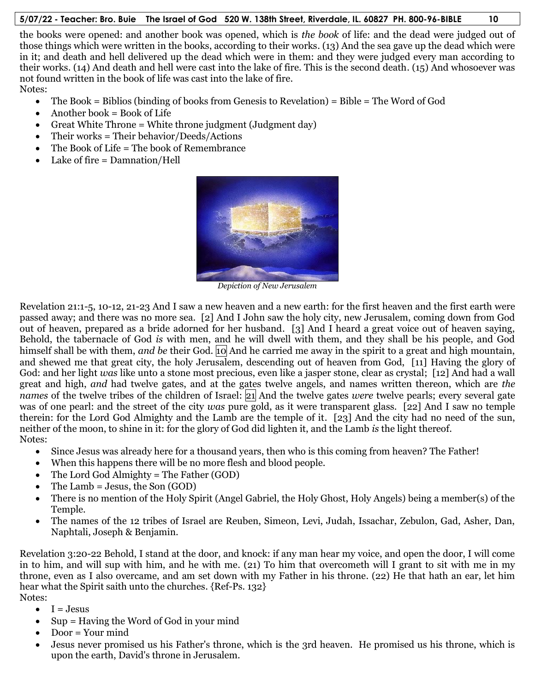the books were opened: and another book was opened, which is *the book* of life: and the dead were judged out of those things which were written in the books, according to their works. (13) And the sea gave up the dead which were in it; and death and hell delivered up the dead which were in them: and they were judged every man according to their works. (14) And death and hell were cast into the lake of fire. This is the second death. (15) And whosoever was not found written in the book of life was cast into the lake of fire. Notes:

- $\bullet$  The Book = Biblios (binding of books from Genesis to Revelation) = Bible = The Word of God
- $\bullet$  Another book = Book of Life
- Great White Throne = White throne judgment (Judgment day)
- Their works = Their behavior/Deeds/Actions
- The Book of Life = The book of Remembrance
- Lake of fire = Damnation/Hell



*Depiction of New Jerusalem*

Revelation 21:1-5, 10-12, 21-23 And I saw a new heaven and a new earth: for the first heaven and the first earth were passed away; and there was no more sea. [2] And I John saw the holy city, new Jerusalem, coming down from God out of heaven, prepared as a bride adorned for her husband. [3] And I heard a great voice out of heaven saying, Behold, the tabernacle of God *is* with men, and he will dwell with them, and they shall be his people, and God himself shall be with them, *and be* their God. 10 And he carried me away in the spirit to a great and high mountain, and shewed me that great city, the holy Jerusalem, descending out of heaven from God, [11] Having the glory of God: and her light *was* like unto a stone most precious, even like a jasper stone, clear as crystal; [12] And had a wall great and high, *and* had twelve gates, and at the gates twelve angels, and names written thereon, which are *the names* of the twelve tribes of the children of Israel: 21 And the twelve gates *were* twelve pearls; every several gate was of one pearl: and the street of the city *was* pure gold, as it were transparent glass. [22] And I saw no temple therein: for the Lord God Almighty and the Lamb are the temple of it. [23] And the city had no need of the sun, neither of the moon, to shine in it: for the glory of God did lighten it, and the Lamb *is* the light thereof. Notes:

- Since Jesus was already here for a thousand years, then who is this coming from heaven? The Father!
- When this happens there will be no more flesh and blood people.
- The Lord God Almighty = The Father (GOD)
- $\bullet$  The Lamb = Jesus, the Son (GOD)
- There is no mention of the Holy Spirit (Angel Gabriel, the Holy Ghost, Holy Angels) being a member(s) of the Temple.
- The names of the 12 tribes of Israel are Reuben, Simeon, Levi, Judah, Issachar, Zebulon, Gad, Asher, Dan, Naphtali, Joseph & Benjamin.

Revelation 3:20-22 Behold, I stand at the door, and knock: if any man hear my voice, and open the door, I will come in to him, and will sup with him, and he with me. (21) To him that overcometh will I grant to sit with me in my throne, even as I also overcame, and am set down with my Father in his throne. (22) He that hath an ear, let him hear what the Spirit saith unto the churches. {Ref-Ps. 132} Notes:

- $I = J \text{esus}$
- $\bullet$  Sup = Having the Word of God in your mind
- Door = Your mind
- Jesus never promised us his Father's throne, which is the 3rd heaven. He promised us his throne, which is upon the earth, David's throne in Jerusalem.